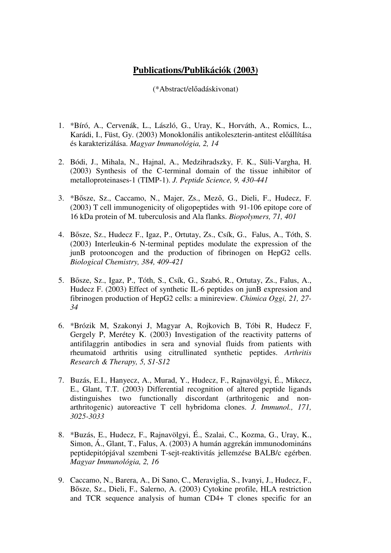## **Publications/Publikációk (2003)**

(\*Abstract/előadáskivonat)

- 1. \*Bíró, A., Cervenák, L., László, G., Uray, K., Horváth, A., Romics, L., Karádi, I., Füst, Gy. (2003) Monoklonális antikoleszterin-antitest előállítása és karakterizálása. *Magyar Immunológia, 2, 14*
- 2. Bódi, J., Mihala, N., Hajnal, A., Medzihradszky, F. K., Süli-Vargha, H. (2003) Synthesis of the C-terminal domain of the tissue inhibitor of metalloproteinases-1 (TIMP-1). *J. Peptide Science, 9, 430-441*
- 3. \*Bősze, Sz., Caccamo, N., Majer, Zs., Mező, G., Dieli, F., Hudecz, F. (2003) T cell immunogenicity of oligopeptides with 91-106 epitope core of 16 kDa protein of M. tuberculosis and Ala flanks. *Biopolymers, 71, 401*
- 4. Bősze, Sz., Hudecz F., Igaz, P., Ortutay, Zs., Csík, G., Falus, A., Tóth, S. (2003) Interleukin-6 N-terminal peptides modulate the expression of the junB protooncogen and the production of fibrinogen on HepG2 cells. *Biological Chemistry, 384, 409-421*
- 5. Bősze, Sz., Igaz, P., Tóth, S., Csík, G., Szabó, R., Ortutay, Zs., Falus, A., Hudecz F. (2003) Effect of synthetic IL-6 peptides on junB expression and fibrinogen production of HepG2 cells: a minireview. *Chimica Oggi, 21, 27- 34*
- 6. \*Brózik M, Szakonyi J, Magyar A, Rojkovich B, Tóbi R, Hudecz F, Gergely P, Merétey K. (2003) Investigation of the reactivity patterns of antifilaggrin antibodies in sera and synovial fluids from patients with rheumatoid arthritis using citrullinated synthetic peptides. *Arthritis Research & Therapy, 5, S1-S12*
- 7. Buzás, E.I., Hanyecz, A., Murad, Y., Hudecz, F., Rajnavölgyi, É., Mikecz, E., Glant, T.T. (2003) Differential recognition of altered peptide ligands distinguishes two functionally discordant (arthritogenic and nonarthritogenic) autoreactive T cell hybridoma clones. *J. Immunol., 171, 3025-3033*
- 8. \*Buzás, E., Hudecz, F., Rajnavölgyi, É., Szalai, C., Kozma, G., Uray, K., Simon, Á., Glant, T., Falus, A. (2003) A humán aggrekán immunodomináns peptidepitópjával szembeni T-sejt-reaktivitás jellemzése BALB/c egérben. *Magyar Immunológia, 2, 16*
- 9. Caccamo, N., Barera, A., Di Sano, C., Meraviglia, S., Ivanyi, J., Hudecz, F., Bősze, Sz., Dieli, F., Salerno, A. (2003) Cytokine profile, HLA restriction and TCR sequence analysis of human CD4+ T clones specific for an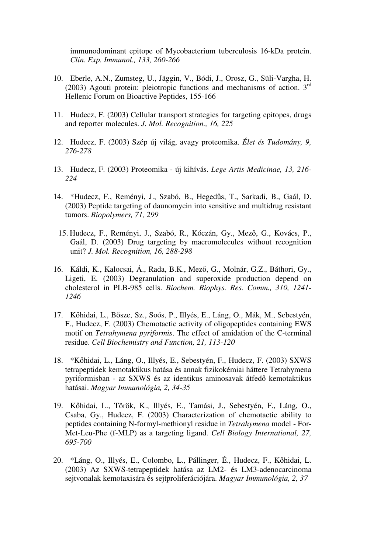immunodominant epitope of Mycobacterium tuberculosis 16-kDa protein. *Clin. Exp. Immunol., 133, 260-266*

- 10. Eberle, A.N., Zumsteg, U., Jäggin, V., Bódi, J., Orosz, G., Süli-Vargha, H. (2003) Agouti protein: pleiotropic functions and mechanisms of action.  $3<sup>rd</sup>$ Hellenic Forum on Bioactive Peptides, 155-166
- 11. Hudecz, F. (2003) Cellular transport strategies for targeting epitopes, drugs and reporter molecules. *J. Mol. Recognition., 16, 225*
- 12. Hudecz, F. (2003) Szép új világ, avagy proteomika. *Élet és Tudomány, 9, 276-278*
- 13. Hudecz, F. (2003) Proteomika új kihívás. *Lege Artis Medicinae, 13, 216- 224*
- 14. \*Hudecz, F., Reményi, J., Szabó, B., Hegedűs, T., Sarkadi, B., Gaál, D. (2003) Peptide targeting of daunomycin into sensitive and multidrug resistant tumors. *Biopolymers, 71, 299*
	- 15. Hudecz, F., Reményi, J., Szabó, R., Kóczán, Gy., Mező, G., Kovács, P., Gaál, D. (2003) Drug targeting by macromolecules without recognition unit? *J. Mol. Recognition, 16, 288-298*
- 16. Káldi, K., Kalocsai, Á., Rada, B.K., Mező, G., Molnár, G.Z., Báthori, Gy., Ligeti, E. (2003) Degranulation and superoxide production depend on cholesterol in PLB-985 cells. *Biochem. Biophys. Res. Comm., 310, 1241- 1246*
- 17. Kőhidai, L., Bősze, Sz., Soós, P., Illyés, E., Láng, O., Mák, M., Sebestyén, F., Hudecz, F. (2003) Chemotactic activity of oligopeptides containing EWS motif on *Tetrahymena pyriformis*. The effect of amidation of the C-terminal residue. *Cell Biochemistry and Function, 21, 113-120*
- 18. \*Kőhidai, L., Láng, O., Illyés, E., Sebestyén, F., Hudecz, F. (2003) SXWS tetrapeptidek kemotaktikus hatása és annak fizikokémiai háttere Tetrahymena pyriformisban - az SXWS és az identikus aminosavak átfedő kemotaktikus hatásai. *Magyar Immunológia, 2, 34-35*
- 19. Kőhidai, L., Török, K., Illyés, E., Tamási, J., Sebestyén, F., Láng, O., Csaba, Gy., Hudecz, F. (2003) Characterization of chemotactic ability to peptides containing N-formyl-methionyl residue in *Tetrahymena* model - For-Met-Leu-Phe (f-MLP) as a targeting ligand. *Cell Biology International, 27, 695-700*
- 20. \*Láng, O., Illyés, E., Colombo, L., Pállinger, É., Hudecz, F., Kőhidai, L. (2003) Az SXWS-tetrapeptidek hatása az LM2- és LM3-adenocarcinoma sejtvonalak kemotaxisára és sejtproliferációjára. *Magyar Immunológia, 2, 37*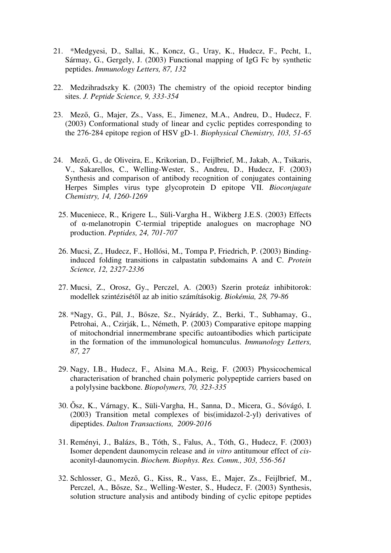- 21. \*Medgyesi, D., Sallai, K., Koncz, G., Uray, K., Hudecz, F., Pecht, I., Sármay, G., Gergely, J. (2003) Functional mapping of IgG Fc by synthetic peptides. *Immunology Letters, 87, 132*
- 22. Medzihradszky K. (2003) The chemistry of the opioid receptor binding sites. *J. Peptide Science, 9, 333-354*
- 23. Mező, G., Majer, Zs., Vass, E., Jimenez, M.A., Andreu, D., Hudecz, F. (2003) Conformational study of linear and cyclic peptides corresponding to the 276-284 epitope region of HSV gD-1. *Biophysical Chemistry, 103, 51-65*
- 24. Mező, G., de Oliveira, E., Krikorian, D., Feijlbrief, M., Jakab, A., Tsikaris, V., Sakarellos, C., Welling-Wester, S., Andreu, D., Hudecz, F. (2003) Synthesis and comparison of antibody recognition of conjugates containing Herpes Simples virus type glycoprotein D epitope VII. *Bioconjugate Chemistry, 14, 1260-1269* 
	- 25. Muceniece, R., Krigere L., Süli-Vargha H., Wikberg J.E.S. (2003) Effects of α-melanotropin C-termial tripeptide analogues on macrophage NO production. *Peptides, 24, 701-707*
	- 26. Mucsi, Z., Hudecz, F., Hollósi, M., Tompa P, Friedrich, P. (2003) Bindinginduced folding transitions in calpastatin subdomains A and C. *Protein Science, 12, 2327-2336*
	- 27. Mucsi, Z., Orosz, Gy., Perczel, A. (2003) Szerin proteáz inhibitorok: modellek szintézisétől az ab initio számításokig. *Biokémia, 28, 79-86*
	- 28. \*Nagy, G., Pál, J., Bősze, Sz., Nyárády, Z., Berki, T., Subhamay, G., Petrohai, A., Czirják, L., Németh, P. (2003) Comparative epitope mapping of mitochondrial innermembrane specific autoantibodies which participate in the formation of the immunological homunculus. *Immunology Letters, 87, 27*
	- 29. Nagy, I.B., Hudecz, F., Alsina M.A., Reig, F. (2003) Physicochemical characterisation of branched chain polymeric polypeptide carriers based on a polylysine backbone. *Biopolymers, 70, 323-335*
	- 30. Ősz, K., Várnagy, K., Süli-Vargha, H., Sanna, D., Micera, G., Sóvágó, I. (2003) Transition metal complexes of bis(imidazol-2-yl) derivatives of dipeptides. *Dalton Transactions, 2009-2016*
	- 31. Reményi, J., Balázs, B., Tóth, S., Falus, A., Tóth, G., Hudecz, F. (2003) Isomer dependent daunomycin release and *in vitro* antitumour effect of *cis*aconityl-daunomycin. *Biochem. Biophys. Res. Comm., 303, 556-561*
	- 32. Schlosser, G., Mező, G., Kiss, R., Vass, E., Majer, Zs., Feijlbrief, M., Perczel, A., Bősze, Sz., Welling-Wester, S., Hudecz, F. (2003) Synthesis, solution structure analysis and antibody binding of cyclic epitope peptides